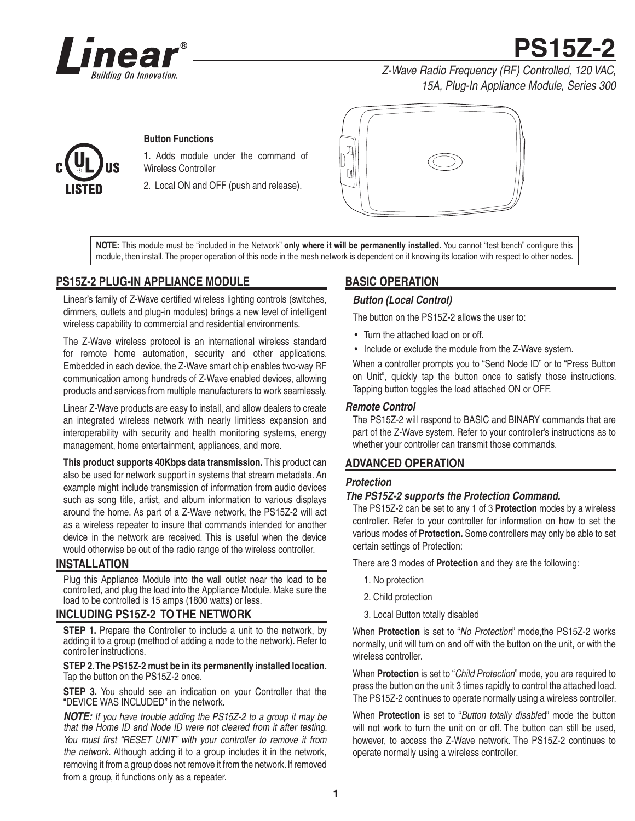

**PS15Z-2**

*Z-Wave Radio Frequency (RF) Controlled, 120 VAC, 15A, Plug-In Appliance Module, Series 300*

#### **Button Functions**

**1.** Adds module under the command of Wireless Controller

2. Local ON and OFF (push and release).



NOTE: This module must be "included in the Network" only where it will be permanently installed. You cannot "test bench" configure this module, then install. The proper operation of this node in the mesh network is dependent on it knowing its location with respect to other nodes.

## **PS15Z-2 PLUG-IN APPLIANCE MODULE**

Linear's family of Z-Wave certified wireless lighting controls (switches, dimmers, outlets and plug-in modules) brings a new level of intelligent wireless capability to commercial and residential environments.

The Z-Wave wireless protocol is an international wireless standard for remote home automation, security and other applications. Embedded in each device, the Z-Wave smart chip enables two-way RF communication among hundreds of Z-Wave enabled devices, allowing products and services from multiple manufacturers to work seamlessly.

Linear Z-Wave products are easy to install, and allow dealers to create an integrated wireless network with nearly limitless expansion and interoperability with security and health monitoring systems, energy management, home entertainment, appliances, and more.

**This product supports 40Kbps data transmission.** This product can also be used for network support in systems that stream metadata. An example might include transmission of information from audio devices such as song title, artist, and album information to various displays around the home. As part of a Z-Wave network, the PS15Z-2 will act as a wireless repeater to insure that commands intended for another device in the network are received. This is useful when the device would otherwise be out of the radio range of the wireless controller.

#### **INSTALLATION**

Plug this Appliance Module into the wall outlet near the load to be controlled, and plug the load into the Appliance Module. Make sure the load to be controlled is 15 amps (1800 watts) or less.

#### **INCLUDING PS15Z-2 TO THE NETWORK**

**STEP 1.** Prepare the Controller to include a unit to the network, by adding it to a group (method of adding a node to the network). Refer to controller instructions.

#### **STEP 2. The PS15Z-2 must be in its permanently installed location.**  Tap the button on the PS15Z-2 once.

**STEP 3.** You should see an indication on your Controller that the "DEVICE WAS INCLUDED" in the network.

*NOTE: If you have trouble adding the PS15Z-2 to a group it may be that the Home ID and Node ID were not cleared from it after testing.*  You must first "RESET UNIT" with your controller to remove it from *the network.* Although adding it to a group includes it in the network, removing it from a group does not remove it from the network. If removed from a group, it functions only as a repeater.

# **BASIC OPERATION**

#### *Button (Local Control)*

The button on the PS15Z-2 allows the user to:

- Turn the attached load on or off.
- Include or exclude the module from the Z-Wave system.

When a controller prompts you to "Send Node ID" or to "Press Button on Unit", quickly tap the button once to satisfy those instructions. Tapping button toggles the load attached ON or OFF.

#### *Remote Control*

The PS15Z-2 will respond to BASIC and BINARY commands that are part of the Z-Wave system. Refer to your controller's instructions as to whether your controller can transmit those commands.

## **ADVANCED OPERATION**

#### *Protection*

#### *The PS15Z-2 supports the Protection Command.*

The PS15Z-2 can be set to any 1 of 3 **Protection** modes by a wireless controller. Refer to your controller for information on how to set the various modes of **Protection.** Some controllers may only be able to set certain settings of Protection:

There are 3 modes of **Protection** and they are the following:

- 1. No protection
- 2. Child protection
- 3. Local Button totally disabled

When **Protection** is set to "*No Protection*" mode,the PS15Z-2 works normally, unit will turn on and off with the button on the unit, or with the wireless controller.

When **Protection** is set to "*Child Protection*" mode, you are required to press the button on the unit 3 times rapidly to control the attached load. The PS15Z-2 continues to operate normally using a wireless controller.

When **Protection** is set to "*Button totally disable*d" mode the button will not work to turn the unit on or off. The button can still be used, however, to access the Z-Wave network. The PS15Z-2 continues to operate normally using a wireless controller.